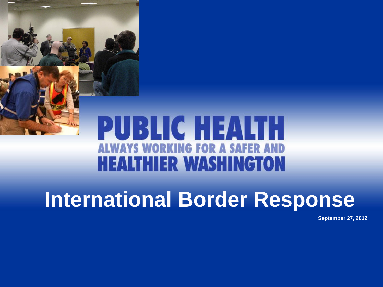

### **International Border Response**

**September 27, 2012**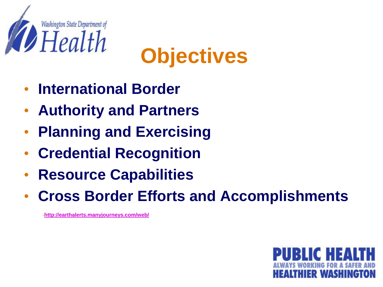



- **International Border**
- **Authority and Partners**
- **Planning and Exercising**
- **Credential Recognition**
- **Resource Capabilities**
- **Cross Border Efforts and Accomplishments**

-**<http://earthalerts.manyjourneys.com/web/>**

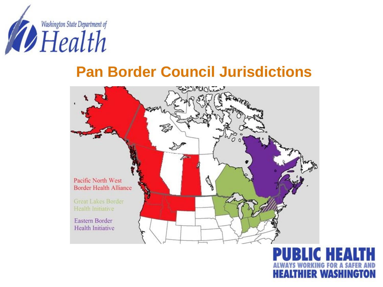

#### **Pan Border Council Jurisdictions**



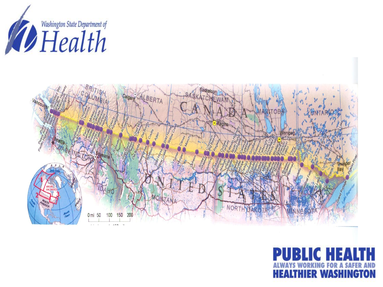



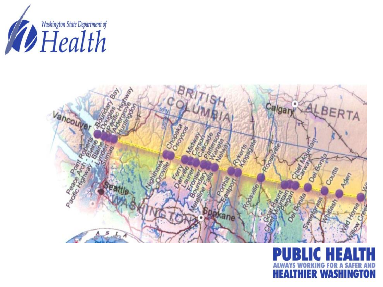



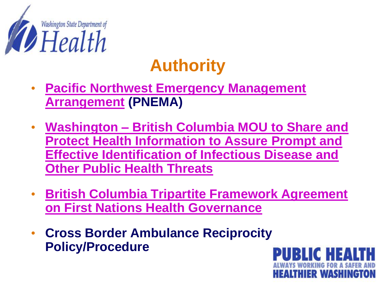

#### **Authority**

- **[Pacific Northwest Emergency Management](http://www.pnwbha.org/reports/PNEMA-annex-a-and-b.PDF)  [Arrangement](http://www.pnwbha.org/reports/PNEMA-annex-a-and-b.PDF) (PNEMA)**
- **[Washington –](http://www.pnwbha.org/wp-content/uploads/2010/04/BC-WA-Info-Share-MOU-Oct-9.09.pdf) [British Columbia MOU to Share and](http://www.pnwbha.org/wp-content/uploads/2010/04/BC-WA-Info-Share-MOU-Oct-9.09.pdf)  [Protect Health Information to Assure Prompt and](http://www.pnwbha.org/wp-content/uploads/2010/04/BC-WA-Info-Share-MOU-Oct-9.09.pdf)  [Effective Identification of Infectious Disease and](http://www.pnwbha.org/wp-content/uploads/2010/04/BC-WA-Info-Share-MOU-Oct-9.09.pdf)  [Other Public Health Threats](http://www.pnwbha.org/wp-content/uploads/2010/04/BC-WA-Info-Share-MOU-Oct-9.09.pdf)**
- **[British Columbia Tripartite Framework Agreement](http://www.pnwbha.org/wp-content/uploads/2011/10/Tripartite-Agreement.pdf)  [on First Nations Health Governance](http://www.pnwbha.org/wp-content/uploads/2011/10/Tripartite-Agreement.pdf)**
- **Cross Border Ambulance Reciprocity Policy/Procedure**

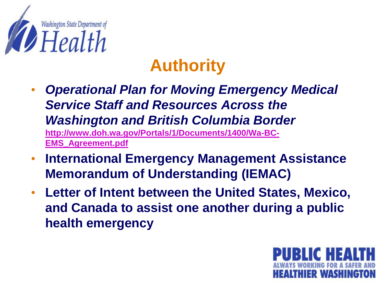

#### **Authority**

- *Operational Plan for Moving Emergency Medical Service Staff and Resources Across the Washington and British Columbia Border*  **[http://www.doh.wa.gov/Portals/1/Documents/1400/Wa-BC-](http://www.doh.wa.gov/Portals/1/Documents/1400/Wa-BC-EMS_Agreement.pdf)[EMS\\_Agreement.pdf](http://www.doh.wa.gov/Portals/1/Documents/1400/Wa-BC-EMS_Agreement.pdf)**
- **International Emergency Management Assistance Memorandum of Understanding (IEMAC)**
- **Letter of Intent between the United States, Mexico, and Canada to assist one another during a public health emergency**

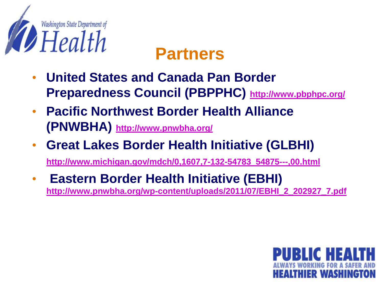

#### **Partners**

- **United States and Canada Pan Border Preparedness Council (PBPPHC) <http://www.pbphpc.org/>**
- **Pacific Northwest Border Health Alliance (PNWBHA) <http://www.pnwbha.org/>**
- **Great Lakes Border Health Initiative (GLBHI)**

**[http://www.michigan.gov/mdch/0,1607,7-132-54783\\_54875---,00.html](http://www.michigan.gov/mdch/0,1607,7-132-54783_54875---,00.html)**

• **Eastern Border Health Initiative (EBHI) [http://www.pnwbha.org/wp-content/uploads/2011/07/EBHI\\_2\\_202927\\_7.pdf](http://www.pnwbha.org/wp-content/uploads/2011/07/EBHI_2_202927_7.pdf)**

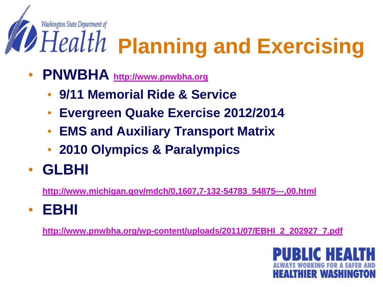

# **W** Health Planning and Exercising

- **PNWBHA [http://www.pnwbha.org](http://www.pnwbha.org/)**
	- **9/11 Memorial Ride & Service**
	- **Evergreen Quake Exercise 2012/2014**
	- **EMS and Auxiliary Transport Matrix**
	- **2010 Olympics & Paralympics**
- **GLBHI**

**[http://www.michigan.gov/mdch/0,1607,7-132-54783\\_54875---,00.html](http://www.michigan.gov/mdch/0,1607,7-132-54783_54875---,00.html)**

• **EBHI** 

**[http://www.pnwbha.org/wp-content/uploads/2011/07/EBHI\\_2\\_202927\\_7.pdf](http://www.pnwbha.org/wp-content/uploads/2011/07/EBHI_2_202927_7.pdf)**

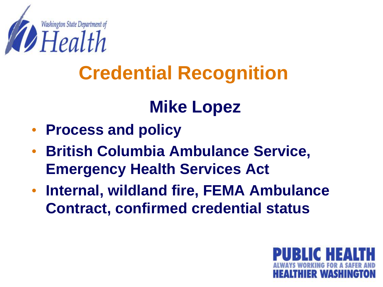

## **Credential Recognition**

#### **Mike Lopez**

- **Process and policy**
- **British Columbia Ambulance Service, Emergency Health Services Act**
- **Internal, wildland fire, FEMA Ambulance Contract, confirmed credential status**

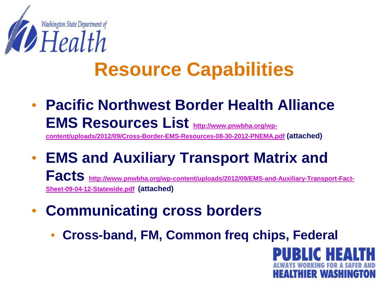

## **Resource Capabilities**

• **Pacific Northwest Border Health Alliance**  EMS Resources List **[http://www.pnwbha.org/wp-](http://www.pnwbha.org/wp-content/uploads/2012/09/Cross-Border-EMS-Resources-08-30-2012-PNEMA.pdf)**

**[content/uploads/2012/09/Cross-Border-EMS-Resources-08-30-2012-PNEMA.pdf](http://www.pnwbha.org/wp-content/uploads/2012/09/Cross-Border-EMS-Resources-08-30-2012-PNEMA.pdf) (attached)** 

- **EMS and Auxiliary Transport Matrix and Facts [http://www.pnwbha.org/wp-content/uploads/2012/09/EMS-and-Auxiliary-Transport-Fact-](http://www.pnwbha.org/wp-content/uploads/2012/09/EMS-and-Auxiliary-Transport-Fact-Sheet-09-04-12-Statewide.pdf)[Sheet-09-04-12-Statewide.pdf](http://www.pnwbha.org/wp-content/uploads/2012/09/EMS-and-Auxiliary-Transport-Fact-Sheet-09-04-12-Statewide.pdf) (attached)**
- **Communicating cross borders** 
	- **Cross-band, FM, Common freq chips, Federal**

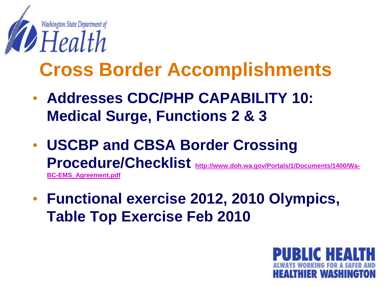

## **Cross Border Accomplishments**

- **Addresses CDC/PHP CAPABILITY 10: Medical Surge, Functions 2 & 3**
- **USCBP and CBSA Border Crossing Procedure/Checklist [http://www.doh.wa.gov/Portals/1/Documents/1400/Wa-](http://www.doh.wa.gov/Portals/1/Documents/1400/Wa-BC-EMS_Agreement.pdf)[BC-EMS\\_Agreement.pdf](http://www.doh.wa.gov/Portals/1/Documents/1400/Wa-BC-EMS_Agreement.pdf)**
- **Functional exercise 2012, 2010 Olympics, Table Top Exercise Feb 2010**

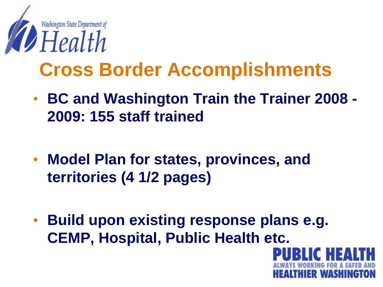

## **Cross Border Accomplishments**

- **BC and Washington Train the Trainer 2008 - 2009: 155 staff trained**
- **Model Plan for states, provinces, and territories (4 1/2 pages)**
- **Build upon existing response plans e.g. CEMP, Hospital, Public Health etc.**

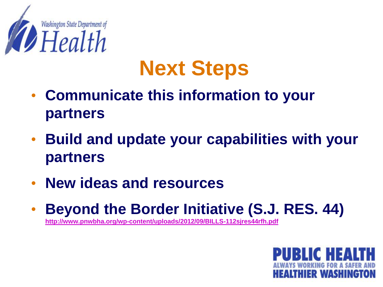

# **Next Steps**

- **Communicate this information to your partners**
- **Build and update your capabilities with your partners**
- **New ideas and resources**
- **Beyond the Border Initiative (S.J. RES. 44) <http://www.pnwbha.org/wp-content/uploads/2012/09/BILLS-112sjres44rfh.pdf>**

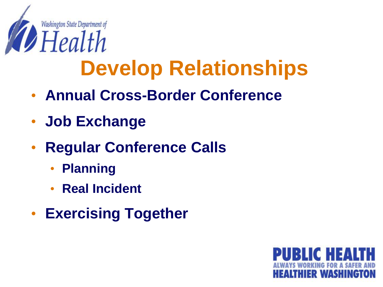

# **Develop Relationships**

- **Annual Cross-Border Conference**
- **Job Exchange**
- **Regular Conference Calls**
	- **Planning**
	- **Real Incident**
- **Exercising Together**

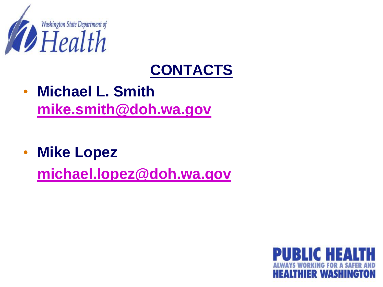

#### **CONTACTS**

- **Michael L. Smith [mike.smith@doh.wa.gov](mailto:mike.smith@doh.wa.gov)**
- **Mike Lopez [michael.lopez@doh.wa.gov](mailto:michael.lopez@doh.wa.gov)**

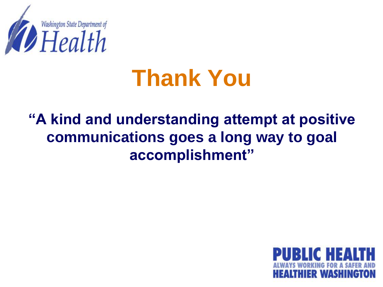

# **Thank You**

#### **"A kind and understanding attempt at positive communications goes a long way to goal accomplishment"**